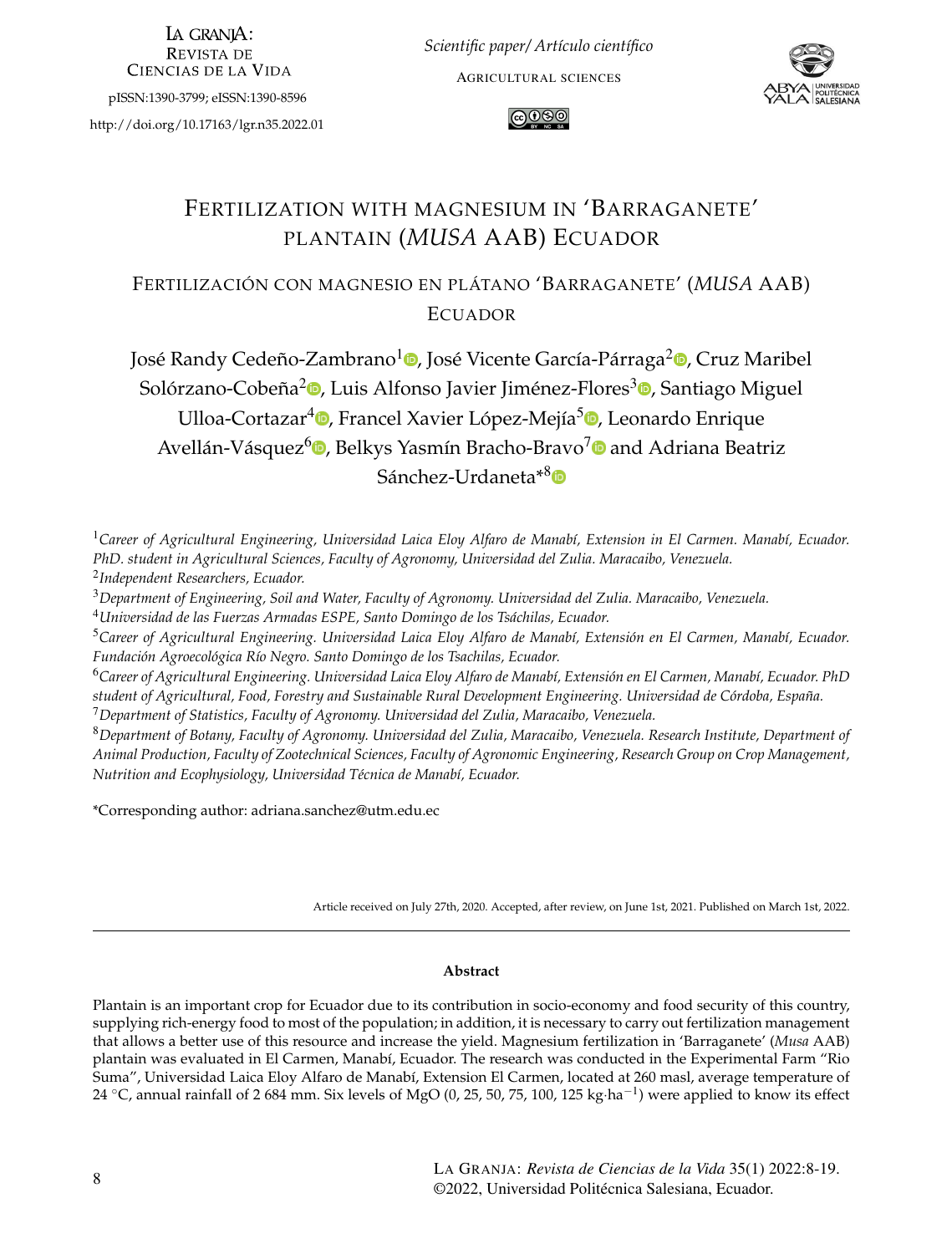LA GRANIA: **REVISTA DE CIENCIAS DE LA VIDA** 

pISSN:1390-3799; eISSN:1390-8596

<http://doi.org/10.17163/lgr.n35.2022.01>

*Scientific paper/ Artículo científico* AGRICULTURAL SCIENCES





# FERTILIZATION WITH MAGNESIUM IN 'BARRAGANETE' PLANTAIN (*MUSA* AAB) ECUADOR

FERTILIZACIÓN CON MAGNESIO EN PLÁTANO 'BARRAGANETE' (*MUSA* AAB) ECUADOR

José Randy Cedeño-Zambrano<sup>1</sup>®[,](http://orcid.org/0000-0003-0385-0994) José Vicente García-Párraga<sup>2</sup>®, Cruz Maribel Solórzano-Cobeña<sup>2</sup>©[,](http://orcid.org/0000-0002-6389-2427) Luis Alfonso Javier Jiménez-Flores<sup>[3](http://orcid.org/0000-0002-9999-4046)</sup>©, Santiago Miguel Ulloa-Cortazar<sup>4</sup>©[,](http://orcid.org/0000-0002-6923-4804) Francel Xavier López-Mejía<sup>5</sup>©, Leonardo Enrique Avellán-Vásquez<sup>6</sup>®[,](http://orcid.org/0000-0003-4265-8049) Belkys Yasmín Bracho-Bravo<sup>[7](http://orcid.org/0000-0003-3108-0296)</sup>® and Adriana Beatriz Sánchez-Urdaneta<sup>\*[8](http://orcid.org/0000-0003-3108-0296)</sup>D

<sup>1</sup>*Career of Agricultural Engineering, Universidad Laica Eloy Alfaro de Manabí, Extension in El Carmen. Manabí, Ecuador. PhD. student in Agricultural Sciences, Faculty of Agronomy, Universidad del Zulia. Maracaibo, Venezuela.* 2 *Independent Researchers, Ecuador.*

<sup>3</sup>*Department of Engineering, Soil and Water, Faculty of Agronomy. Universidad del Zulia. Maracaibo, Venezuela.*

<sup>4</sup>*Universidad de las Fuerzas Armadas ESPE, Santo Domingo de los Tsáchilas, Ecuador.*

<sup>5</sup>*Career of Agricultural Engineering. Universidad Laica Eloy Alfaro de Manabí, Extensión en El Carmen, Manabí, Ecuador. Fundación Agroecológica Río Negro. Santo Domingo de los Tsachilas, Ecuador.*

<sup>6</sup>*Career of Agricultural Engineering. Universidad Laica Eloy Alfaro de Manabí, Extensión en El Carmen, Manabí, Ecuador. PhD student of Agricultural, Food, Forestry and Sustainable Rural Development Engineering. Universidad de Córdoba, España.* <sup>7</sup>*Department of Statistics, Faculty of Agronomy. Universidad del Zulia, Maracaibo, Venezuela.*

<sup>8</sup>*Department of Botany, Faculty of Agronomy. Universidad del Zulia, Maracaibo, Venezuela. Research Institute, Department of Animal Production, Faculty of Zootechnical Sciences, Faculty of Agronomic Engineering, Research Group on Crop Management, Nutrition and Ecophysiology, Universidad Técnica de Manabí, Ecuador.*

\*Corresponding author: <adriana.sanchez@utm.edu.ec>

Article received on July 27th, 2020. Accepted, after review, on June 1st, 2021. Published on March 1st, 2022.

#### **Abstract**

Plantain is an important crop for Ecuador due to its contribution in socio-economy and food security of this country, supplying rich-energy food to most of the population; in addition, it is necessary to carry out fertilization management that allows a better use of this resource and increase the yield. Magnesium fertilization in 'Barraganete' (*Musa* AAB) plantain was evaluated in El Carmen, Manabí, Ecuador. The research was conducted in the Experimental Farm "Rio Suma", Universidad Laica Eloy Alfaro de Manabí, Extension El Carmen, located at 260 masl, average temperature of 24 °C, annual rainfall of 2 684 mm. Six levels of MgO (0, 25, 50, 75, 100, 125 kg·ha<sup>-1</sup>) were applied to know its effect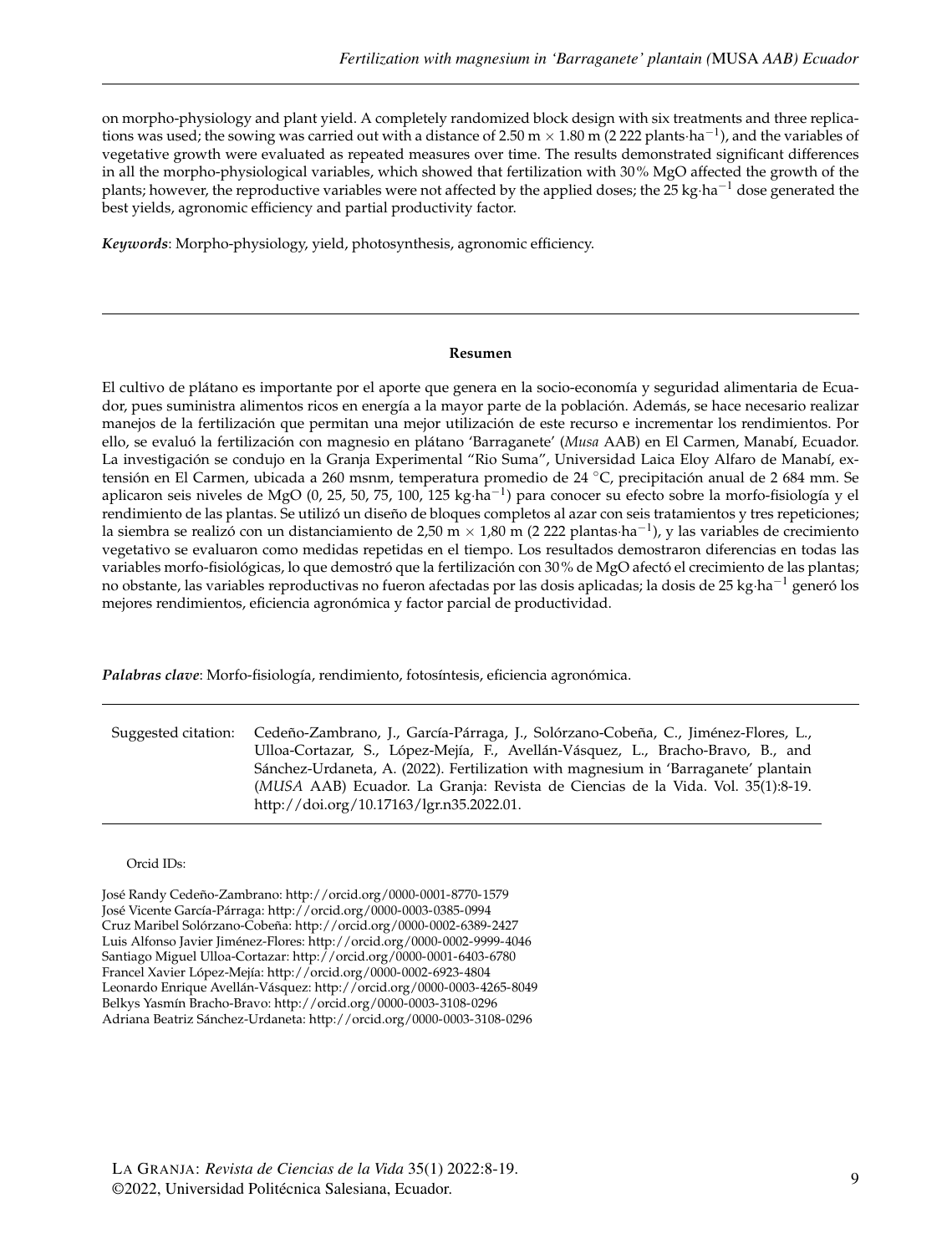on morpho-physiology and plant yield. A completely randomized block design with six treatments and three replications was used; the sowing was carried out with a distance of 2.50 m  $\times$  1.80 m (2 222 plants·ha $^{-1}$ ), and the variables of vegetative growth were evaluated as repeated measures over time. The results demonstrated significant differences in all the morpho-physiological variables, which showed that fertilization with 30% MgO affected the growth of the plants; however, the reproductive variables were not affected by the applied doses; the 25 kg·ha<sup>-1</sup> dose generated the best yields, agronomic efficiency and partial productivity factor.

*Keywords*: Morpho-physiology, yield, photosynthesis, agronomic efficiency.

#### **Resumen**

El cultivo de plátano es importante por el aporte que genera en la socio-economía y seguridad alimentaria de Ecuador, pues suministra alimentos ricos en energía a la mayor parte de la población. Además, se hace necesario realizar manejos de la fertilización que permitan una mejor utilización de este recurso e incrementar los rendimientos. Por ello, se evaluó la fertilización con magnesio en plátano 'Barraganete' (*Musa* AAB) en El Carmen, Manabí, Ecuador. La investigación se condujo en la Granja Experimental "Rio Suma", Universidad Laica Eloy Alfaro de Manabí, extensión en El Carmen, ubicada a 260 msnm, temperatura promedio de 24 ◦C, precipitación anual de 2 684 mm. Se aplicaron seis niveles de MgO (0, 25, 50, 75, 100, 125 kg·ha<sup>−1</sup>) para conocer su efecto sobre la morfo-fisiología y el rendimiento de las plantas. Se utilizó un diseño de bloques completos al azar con seis tratamientos y tres repeticiones; la siembra se realizó con un distanciamiento de 2,50 m × 1,80 m (2 222 plantas·ha $^{-1}$ ), y las variables de crecimiento vegetativo se evaluaron como medidas repetidas en el tiempo. Los resultados demostraron diferencias en todas las variables morfo-fisiológicas, lo que demostró que la fertilización con 30% de MgO afectó el crecimiento de las plantas; no obstante, las variables reproductivas no fueron afectadas por las dosis aplicadas; la dosis de 25 kg·ha<sup>−1</sup> generó los mejores rendimientos, eficiencia agronómica y factor parcial de productividad.

*Palabras clave*: Morfo-fisiología, rendimiento, fotosíntesis, eficiencia agronómica.

| Suggested citation: Cedeño-Zambrano, J., García-Párraga, J., Solórzano-Cobeña, C., Jiménez-Flores, L., |
|--------------------------------------------------------------------------------------------------------|
| Ulloa-Cortazar, S., López-Mejía, F., Avellán-Vásquez, L., Bracho-Bravo, B., and                        |
| Sánchez-Urdaneta, A. (2022). Fertilization with magnesium in 'Barraganete' plantain                    |
| (MUSA AAB) Ecuador. La Granja: Revista de Ciencias de la Vida. Vol. 35(1):8-19.                        |
| http://doi.org/10.17163/lgr.n35.2022.01.                                                               |

#### Orcid IDs:

José Randy Cedeño-Zambrano: <http://orcid.org/0000-0001-8770-1579> José Vicente García-Párraga: <http://orcid.org/0000-0003-0385-0994> Cruz Maribel Solórzano-Cobeña: <http://orcid.org/0000-0002-6389-2427> Luis Alfonso Javier Jiménez-Flores: <http://orcid.org/0000-0002-9999-4046> Santiago Miguel Ulloa-Cortazar: <http://orcid.org/0000-0001-6403-6780> Francel Xavier López-Mejía: <http://orcid.org/0000-0002-6923-4804> Leonardo Enrique Avellán-Vásquez: <http://orcid.org/0000-0003-4265-8049> Belkys Yasmín Bracho-Bravo: <http://orcid.org/0000-0003-3108-0296> Adriana Beatriz Sánchez-Urdaneta: <http://orcid.org/0000-0003-3108-0296>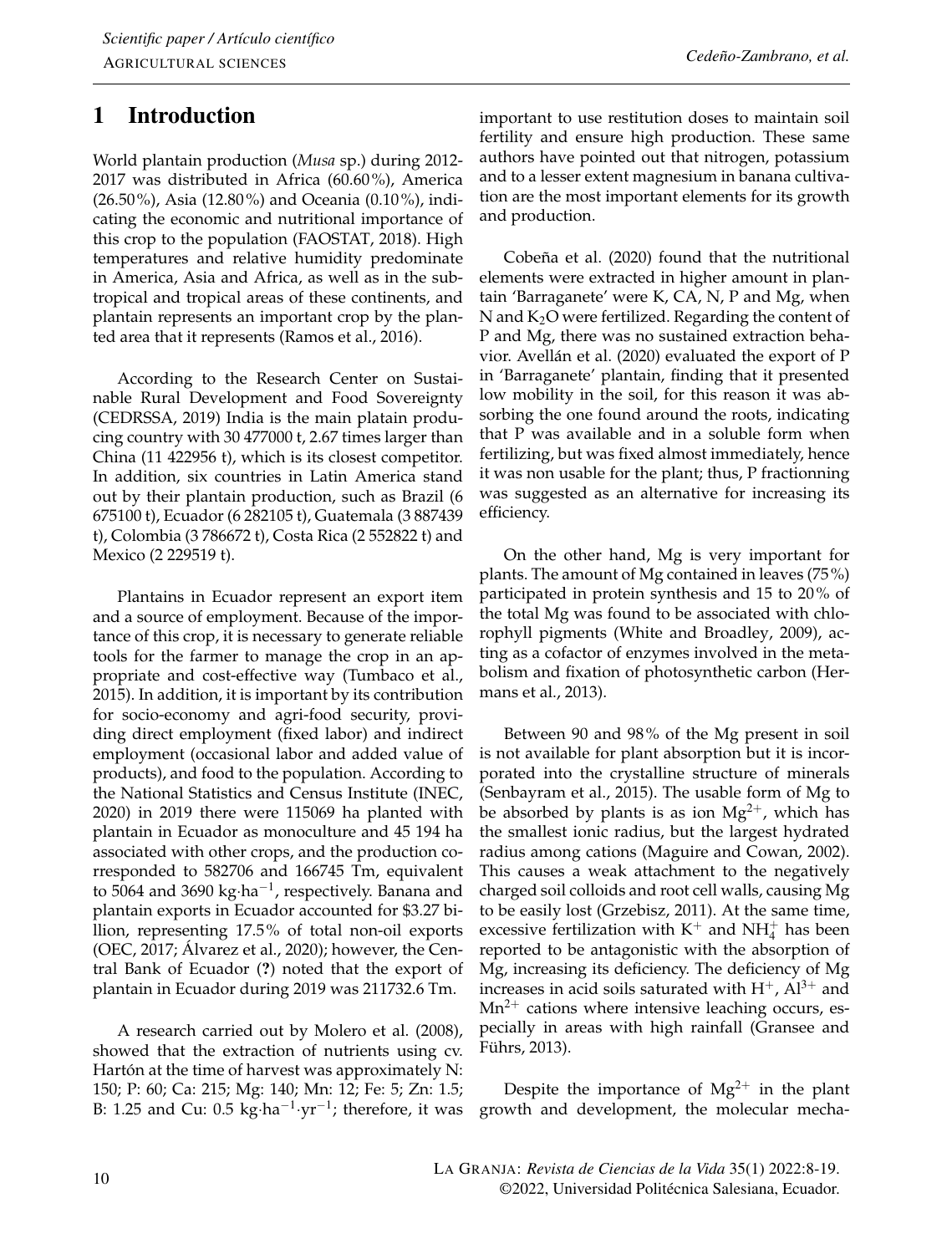# 1 Introduction

World plantain production (*Musa* sp.) during 2012- 2017 was distributed in Africa (60.60%), America (26.50%), Asia (12.80%) and Oceania (0.10%), indicating the economic and nutritional importance of this crop to the population [\(FAOSTAT,](#page-10-0) [2018\)](#page-10-0). High temperatures and relative humidity predominate in America, Asia and Africa, as well as in the subtropical and tropical areas of these continents, and plantain represents an important crop by the planted area that it represents [\(Ramos et al.,](#page-11-0) [2016\)](#page-11-0).

According to the Research Center on Sustainable Rural Development and Food Sovereignty [\(CEDRSSA,](#page-10-1) [2019\)](#page-10-1) India is the main platain producing country with 30 477000 t, 2.67 times larger than China (11 422956 t), which is its closest competitor. In addition, six countries in Latin America stand out by their plantain production, such as Brazil (6 675100 t), Ecuador (6 282105 t), Guatemala (3 887439 t), Colombia (3 786672 t), Costa Rica (2 552822 t) and Mexico (2 229519 t).

Plantains in Ecuador represent an export item and a source of employment. Because of the importance of this crop, it is necessary to generate reliable tools for the farmer to manage the crop in an appropriate and cost-effective way [\(Tumbaco et al.,](#page-11-1) [2015\)](#page-11-1). In addition, it is important by its contribution for socio-economy and agri-food security, providing direct employment (fixed labor) and indirect employment (occasional labor and added value of products), and food to the population. According to the National Statistics and Census Institute [\(INEC,](#page-10-2) [2020\)](#page-10-2) in 2019 there were 115069 ha planted with plantain in Ecuador as monoculture and 45 194 ha associated with other crops, and the production corresponded to 582706 and 166745 Tm, equivalent to 5064 and 3690 kg⋅ha<sup>-1</sup>, respectively. Banana and plantain exports in Ecuador accounted for \$3.27 billion, representing 17.5% of total non-oil exports [\(OEC,](#page-11-2) [2017;](#page-11-2) [Álvarez et al.,](#page-9-0) [2020\)](#page-9-0); however, the Central Bank of Ecuador (?) noted that the export of plantain in Ecuador during 2019 was 211732.6 Tm.

A research carried out by [Molero et al.](#page-11-3) [\(2008\)](#page-11-3), showed that the extraction of nutrients using cv. Hartón at the time of harvest was approximately N: 150; P: 60; Ca: 215; Mg: 140; Mn: 12; Fe: 5; Zn: 1.5; B: 1.25 and Cu:  $0.5 \text{ kg} \cdot \text{ha}^{-1} \cdot \text{yr}^{-1}$ ; therefore, it was

important to use restitution doses to maintain soil fertility and ensure high production. These same authors have pointed out that nitrogen, potassium and to a lesser extent magnesium in banana cultivation are the most important elements for its growth and production.

[Cobeña et al.](#page-10-3) [\(2020\)](#page-10-3) found that the nutritional elements were extracted in higher amount in plantain 'Barraganete' were K, CA, N, P and Mg, when N and  $K_2O$  were fertilized. Regarding the content of P and Mg, there was no sustained extraction behavior. [Avellán et al.](#page-9-1) [\(2020\)](#page-9-1) evaluated the export of P in 'Barraganete' plantain, finding that it presented low mobility in the soil, for this reason it was absorbing the one found around the roots, indicating that P was available and in a soluble form when fertilizing, but was fixed almost immediately, hence it was non usable for the plant; thus, P fractionning was suggested as an alternative for increasing its efficiency.

On the other hand, Mg is very important for plants. The amount of Mg contained in leaves (75%) participated in protein synthesis and 15 to 20% of the total Mg was found to be associated with chlorophyll pigments [\(White and Broadley,](#page-11-4) [2009\)](#page-11-4), acting as a cofactor of enzymes involved in the metabolism and fixation of photosynthetic carbon [\(Her](#page-10-4)[mans et al.,](#page-10-4) [2013\)](#page-10-4).

Between 90 and 98% of the Mg present in soil is not available for plant absorption but it is incorporated into the crystalline structure of minerals [\(Senbayram et al.,](#page-11-5) [2015\)](#page-11-5). The usable form of Mg to be absorbed by plants is as ion  $Mg^{2+}$ , which has the smallest ionic radius, but the largest hydrated radius among cations [\(Maguire and Cowan,](#page-11-6) [2002\)](#page-11-6). This causes a weak attachment to the negatively charged soil colloids and root cell walls, causing Mg to be easily lost [\(Grzebisz,](#page-10-5) [2011\)](#page-10-5). At the same time, excessive fertilization with  $K^+$  and  $NH_4^+$  has been reported to be antagonistic with the absorption of Mg, increasing its deficiency. The deficiency of Mg increases in acid soils saturated with  $H^+$ ,  $Al^{3+}$  and  $Mn^{2+}$  cations where intensive leaching occurs, especially in areas with high rainfall [\(Gransee and](#page-10-6) [Führs,](#page-10-6) [2013\)](#page-10-6).

Despite the importance of  $Mg^{2+}$  in the plant growth and development, the molecular mecha-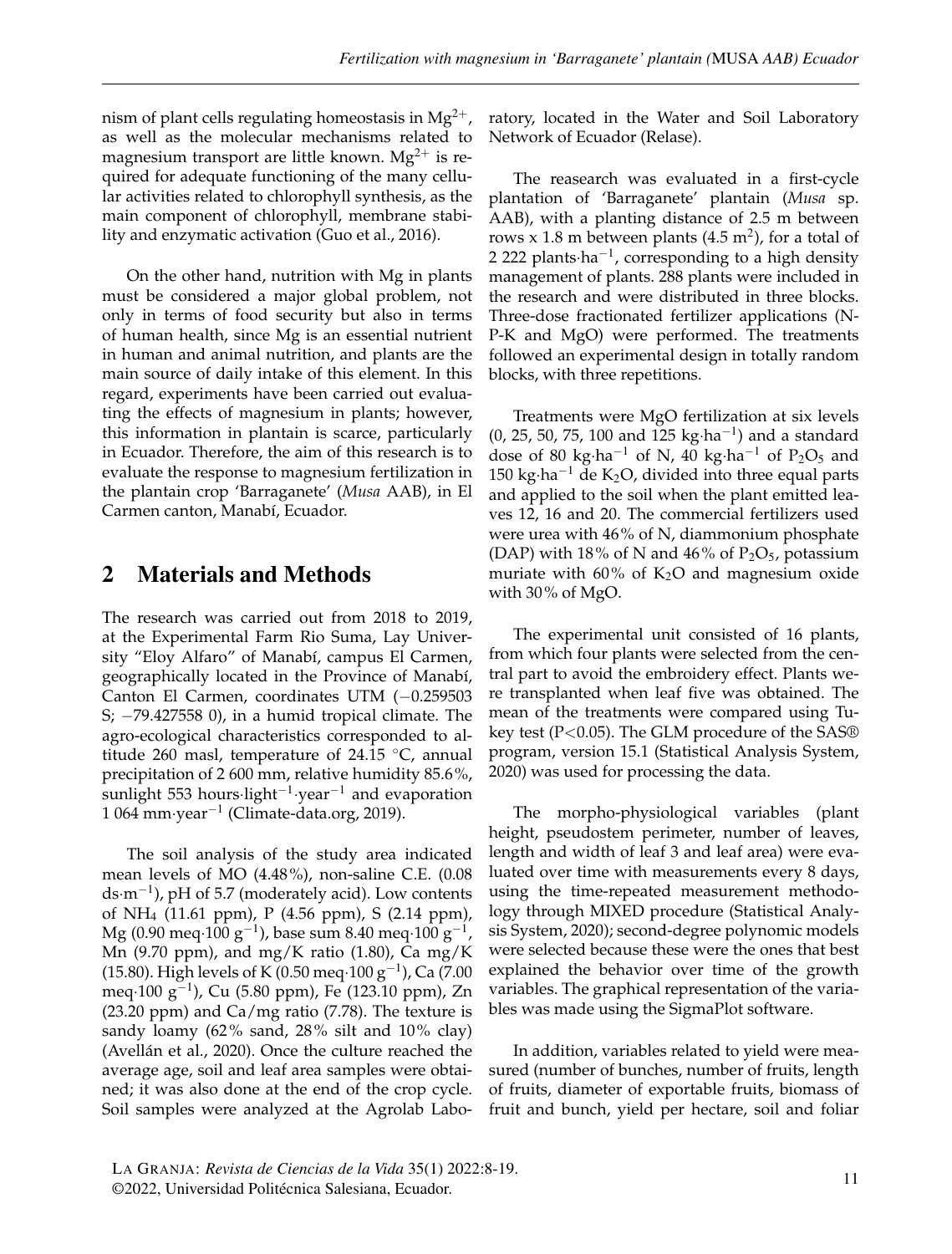nism of plant cells regulating homeostasis in  $Mg^{2+}$ , as well as the molecular mechanisms related to magnesium transport are little known.  $Mg^{2+}$  is required for adequate functioning of the many cellular activities related to chlorophyll synthesis, as the main component of chlorophyll, membrane stability and enzymatic activation [\(Guo et al.,](#page-10-7) [2016\)](#page-10-7).

On the other hand, nutrition with Mg in plants must be considered a major global problem, not only in terms of food security but also in terms of human health, since Mg is an essential nutrient in human and animal nutrition, and plants are the main source of daily intake of this element. In this regard, experiments have been carried out evaluating the effects of magnesium in plants; however, this information in plantain is scarce, particularly in Ecuador. Therefore, the aim of this research is to evaluate the response to magnesium fertilization in the plantain crop 'Barraganete' (*Musa* AAB), in El Carmen canton, Manabí, Ecuador.

## 2 Materials and Methods

The research was carried out from 2018 to 2019, at the Experimental Farm Rio Suma, Lay University "Eloy Alfaro" of Manabí, campus El Carmen, geographically located in the Province of Manabí, Canton El Carmen, coordinates UTM (−0.259503 S; −79.427558 0), in a humid tropical climate. The agro-ecological characteristics corresponded to altitude 260 masl, temperature of 24.15  $\degree$ C, annual precipitation of 2 600 mm, relative humidity 85.6%, sunlight 553 hours·light−<sup>1</sup> ·year−<sup>1</sup> and evaporation 1 064 mm·year−<sup>1</sup> [\(Climate-data.org,](#page-10-8) [2019\)](#page-10-8).

The soil analysis of the study area indicated mean levels of MO (4.48%), non-saline C.E. (0.08 ds·m−<sup>1</sup> ), pH of 5.7 (moderately acid). Low contents of NH4 (11.61 ppm), P (4.56 ppm), S (2.14 ppm),  $\rm Mg$  (0.90 meq $\cdot 100~\rm g^{-1}$ ), base sum 8.40 meq $\cdot 100~\rm g^{-1}$ , Mn (9.70 ppm), and mg/K ratio (1.80), Ca mg/K (15.80). High levels of K (0.50 meq·100  $g^{-1}$ ), Ca (7.00) meq·100 g−<sup>1</sup> ), Cu (5.80 ppm), Fe (123.10 ppm), Zn (23.20 ppm) and Ca/mg ratio (7.78). The texture is sandy loamy (62% sand, 28% silt and 10% clay) [\(Avellán et al.,](#page-9-1) [2020\)](#page-9-1). Once the culture reached the average age, soil and leaf area samples were obtained; it was also done at the end of the crop cycle. Soil samples were analyzed at the Agrolab Labo-

ratory, located in the Water and Soil Laboratory Network of Ecuador (Relase).

The reasearch was evaluated in a first-cycle plantation of 'Barraganete' plantain (*Musa* sp. AAB), with a planting distance of 2.5 m between rows x 1.8 m between plants  $(4.5 \text{ m}^2)$ , for a total of 2 222 plants·ha<sup>-1</sup>, corresponding to a high density management of plants. 288 plants were included in the research and were distributed in three blocks. Three-dose fractionated fertilizer applications (N-P-K and MgO) were performed. The treatments followed an experimental design in totally random blocks, with three repetitions.

Treatments were MgO fertilization at six levels (0, 25, 50, 75, 100 and 125 kg·ha−<sup>1</sup> ) and a standard dose of 80 kg⋅ha<sup>-1</sup> of N, 40 kg⋅ha<sup>-1</sup> of P<sub>2</sub>O<sub>5</sub> and 150 kg⋅ha<sup>-1</sup> de K<sub>2</sub>O, divided into three equal parts and applied to the soil when the plant emitted leaves 12, 16 and 20. The commercial fertilizers used were urea with 46% of N, diammonium phosphate (DAP) with 18% of N and 46% of  $P_2O_5$ , potassium muriate with 60% of  $K<sub>2</sub>O$  and magnesium oxide with 30% of MgO.

The experimental unit consisted of 16 plants, from which four plants were selected from the central part to avoid the embroidery effect. Plants were transplanted when leaf five was obtained. The mean of the treatments were compared using Tukey test (P<0.05). The GLM procedure of the SAS® program, version 15.1 [\(Statistical Analysis System,](#page-11-7) [2020\)](#page-11-7) was used for processing the data.

The morpho-physiological variables (plant height, pseudostem perimeter, number of leaves, length and width of leaf 3 and leaf area) were evaluated over time with measurements every 8 days, using the time-repeated measurement methodology through MIXED procedure [\(Statistical Analy](#page-11-7)[sis System,](#page-11-7) [2020\)](#page-11-7); second-degree polynomic models were selected because these were the ones that best explained the behavior over time of the growth variables. The graphical representation of the variables was made using the SigmaPlot software.

In addition, variables related to yield were measured (number of bunches, number of fruits, length of fruits, diameter of exportable fruits, biomass of fruit and bunch, yield per hectare, soil and foliar

LA GRANJA: *Revista de Ciencias de la Vida* 35(1) 2022:8-19. ER GRANSA: Revisidad Politécnica Salesiana, Ecuador. 11<br>©2022, Universidad Politécnica Salesiana, Ecuador. 11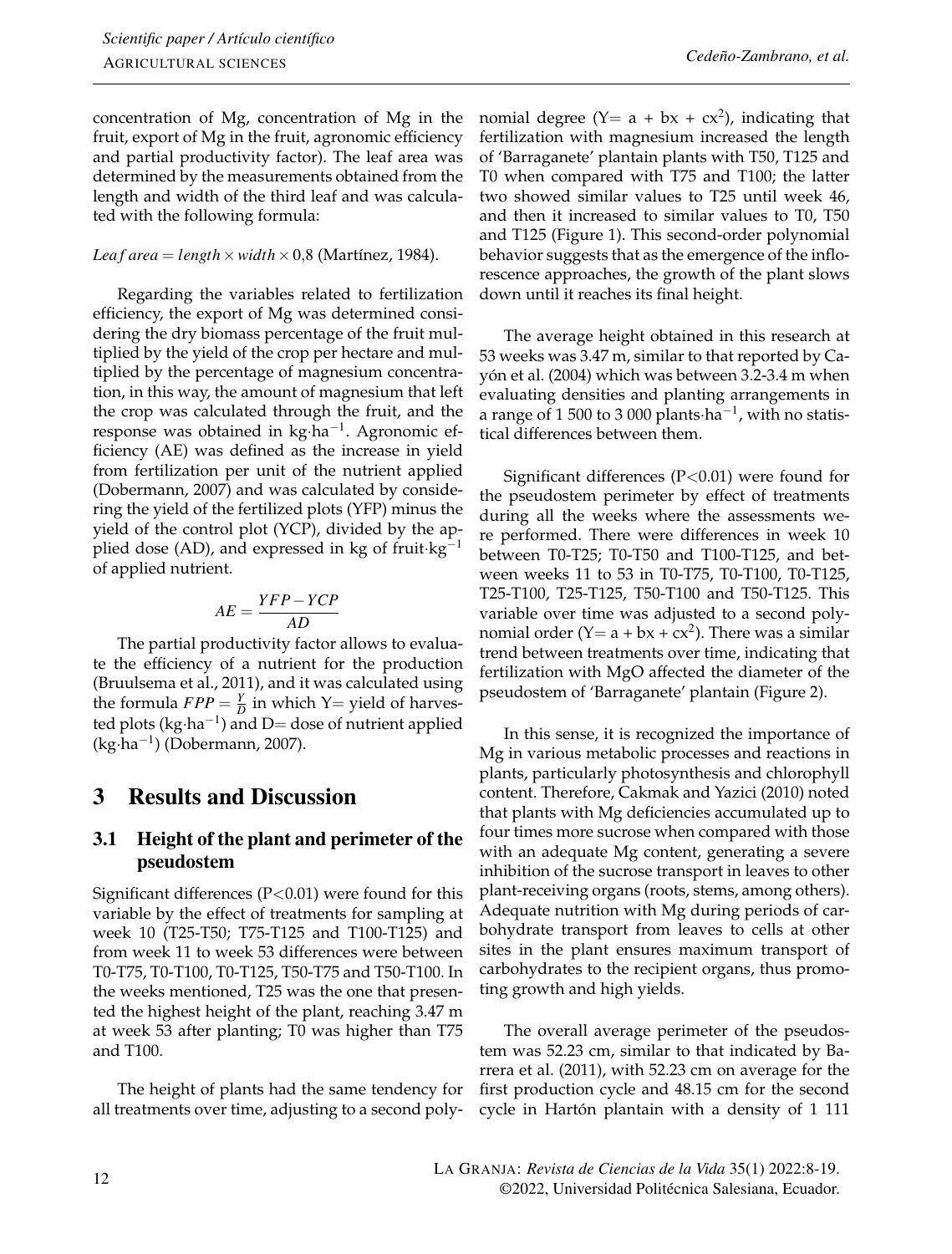concentration of Mg, concentration of Mg in the fruit, export of Mg in the fruit, agronomic efficiency and partial productivity factor). The leaf area was determined by the measurements obtained from the length and width of the third leaf and was calculated with the following formula:

#### *Leaf area* = *length*  $\times$  *width*  $\times$  0,8 [\(Martínez,](#page-11-8) [1984\)](#page-11-8).

Regarding the variables related to fertilization efficiency, the export of Mg was determined considering the dry biomass percentage of the fruit multiplied by the yield of the crop per hectare and multiplied by the percentage of magnesium concentration, in this way, the amount of magnesium that left the crop was calculated through the fruit, and the response was obtained in kg·ha−<sup>1</sup> . Agronomic efficiency (AE) was defined as the increase in yield from fertilization per unit of the nutrient applied [\(Dobermann,](#page-10-9) [2007\)](#page-10-9) and was calculated by considering the yield of the fertilized plots (YFP) minus the yield of the control plot (YCP), divided by the applied dose (AD), and expressed in kg of fruit·kg<sup>-1</sup> of applied nutrient.

$$
AE = \frac{YFP - YCP}{AD}
$$

The partial productivity factor allows to evaluate the efficiency of a nutrient for the production [\(Bruulsema et al.,](#page-10-10) [2011\)](#page-10-10), and it was calculated using the formula  $FPP = \frac{Y}{D}$  in which Y= yield of harvested plots (kg·ha<sup>-1</sup>) and D= dose of nutrient applied (kg·ha−<sup>1</sup> ) [\(Dobermann,](#page-10-9) [2007\)](#page-10-9).

# 3 Results and Discussion

### 3.1 Height of the plant and perimeter of the pseudostem

Significant differences  $(P<0.01)$  were found for this variable by the effect of treatments for sampling at week 10 (T25-T50; T75-T125 and T100-T125) and from week 11 to week 53 differences were between T0-T75, T0-T100, T0-T125, T50-T75 and T50-T100. In the weeks mentioned, T25 was the one that presented the highest height of the plant, reaching 3.47 m at week 53 after planting; T0 was higher than T75 and T100.

The height of plants had the same tendency for all treatments over time, adjusting to a second polynomial degree  $(Y = a + bx + cx^2)$ , indicating that fertilization with magnesium increased the length of 'Barraganete' plantain plants with T50, T125 and T0 when compared with T75 and T100; the latter two showed similar values to T25 until week 46, and then it increased to similar values to T0, T50 and T125 (Figure 1). This second-order polynomial behavior suggests that as the emergence of the inflorescence approaches, the growth of the plant slows down until it reaches its final height.

The average height obtained in this research at 53 weeks was 3.47 m, similar to that reported by [Ca](#page-10-11)[yón et al.](#page-10-11) [\(2004\)](#page-10-11) which was between 3.2-3.4 m when evaluating densities and planting arrangements in a range of 1 500 to 3 000 plants·ha−<sup>1</sup> , with no statistical differences between them.

Significant differences  $(P<0.01)$  were found for the pseudostem perimeter by effect of treatments during all the weeks where the assessments were performed. There were differences in week 10 between T0-T25; T0-T50 and T100-T125, and between weeks 11 to 53 in T0-T75, T0-T100, T0-T125, T25-T100, T25-T125, T50-T100 and T50-T125. This variable over time was adjusted to a second polynomial order  $(Y = a + bx + cx^2)$ . There was a similar trend between treatments over time, indicating that fertilization with MgO affected the diameter of the pseudostem of 'Barraganete' plantain (Figure 2).

In this sense, it is recognized the importance of Mg in various metabolic processes and reactions in plants, particularly photosynthesis and chlorophyll content. Therefore, [Cakmak and Yazici](#page-10-12) [\(2010\)](#page-10-12) noted that plants with Mg deficiencies accumulated up to four times more sucrose when compared with those with an adequate Mg content, generating a severe inhibition of the sucrose transport in leaves to other plant-receiving organs (roots, stems, among others). Adequate nutrition with Mg during periods of carbohydrate transport from leaves to cells at other sites in the plant ensures maximum transport of carbohydrates to the recipient organs, thus promoting growth and high yields.

The overall average perimeter of the pseudostem was 52.23 cm, similar to that indicated by [Ba](#page-10-13)[rrera et al.](#page-10-13) [\(2011\)](#page-10-13), with 52.23 cm on average for the first production cycle and 48.15 cm for the second cycle in Hartón plantain with a density of 1 111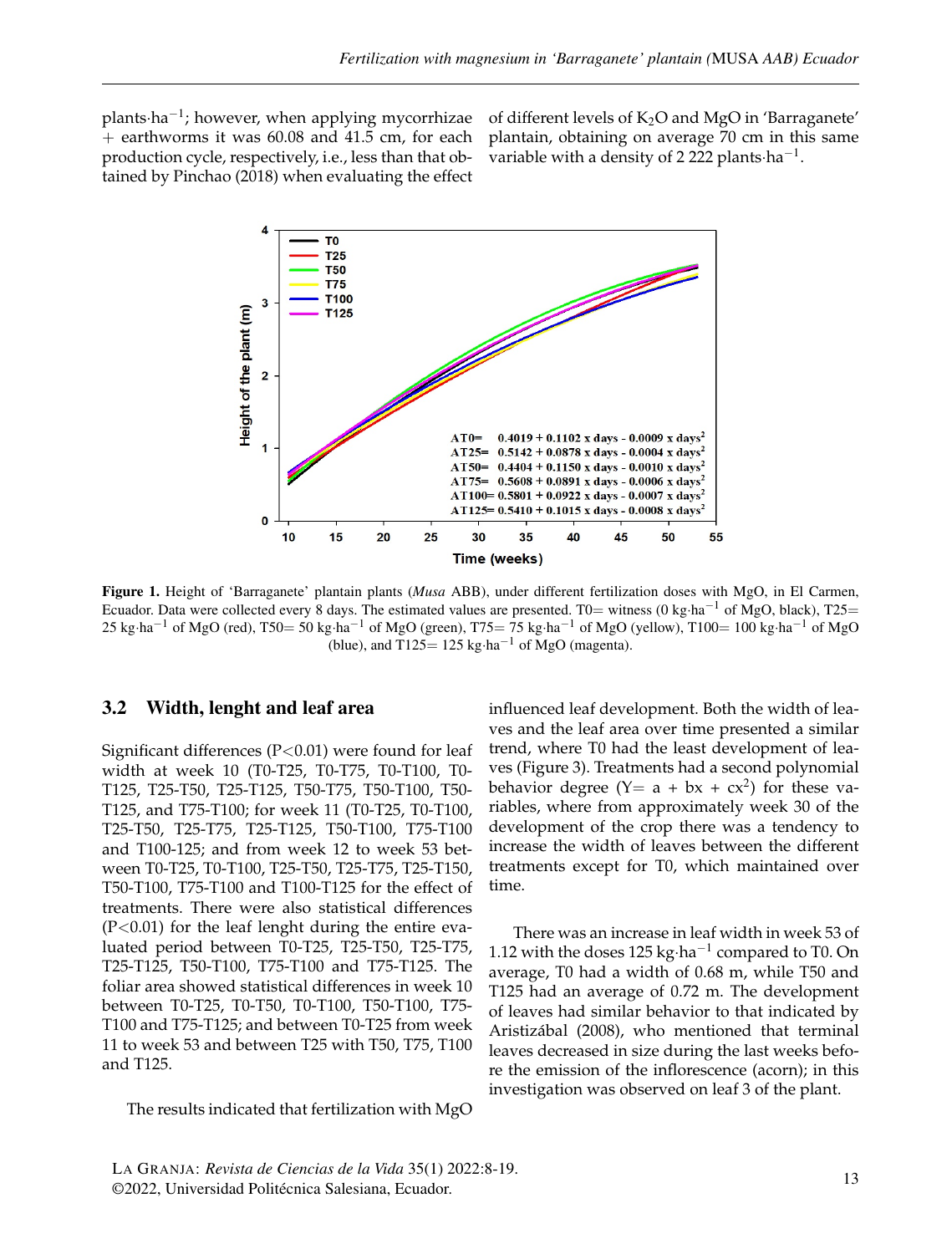plants·ha−<sup>1</sup> ; however, when applying mycorrhizae + earthworms it was 60.08 and 41.5 cm, for each production cycle, respectively, i.e., less than that obtained by [Pinchao](#page-11-9) [\(2018\)](#page-11-9) when evaluating the effect

of different levels of  $K_2O$  and MgO in 'Barraganete' plantain, obtaining on average 70 cm in this same variable with a density of 2 222 plants·ha<sup>-1</sup>.



Figure 1. Height of 'Barraganete' plantain plants (*Musa* ABB), under different fertilization doses with MgO, in El Carmen, Ecuador. Data were collected every 8 days. The estimated values are presented. T0= witness (0 kg·ha<sup>-1</sup> of MgO, black), T25= 25 kg⋅ha<sup>-1</sup> of MgO (red), T50= 50 kg⋅ha<sup>-1</sup> of MgO (green), T75= 75 kg⋅ha<sup>-1</sup> of MgO (yellow), T100= 100 kg⋅ha<sup>-1</sup> of MgO (blue), and T125=  $125 \text{ kg} \cdot \text{ha}^{-1}$  of MgO (magenta).

#### 3.2 Width, lenght and leaf area

Significant differences  $(P<0.01)$  were found for leaf width at week 10 (T0-T25, T0-T75, T0-T100, T0- T125, T25-T50, T25-T125, T50-T75, T50-T100, T50- T125, and T75-T100; for week 11 (T0-T25, T0-T100, T25-T50, T25-T75, T25-T125, T50-T100, T75-T100 and T100-125; and from week 12 to week 53 between T0-T25, T0-T100, T25-T50, T25-T75, T25-T150, T50-T100, T75-T100 and T100-T125 for the effect of treatments. There were also statistical differences  $(P<0.01)$  for the leaf lenght during the entire evaluated period between T0-T25, T25-T50, T25-T75, T25-T125, T50-T100, T75-T100 and T75-T125. The foliar area showed statistical differences in week 10 between T0-T25, T0-T50, T0-T100, T50-T100, T75- T100 and T75-T125; and between T0-T25 from week 11 to week 53 and between T25 with T50, T75, T100 and T125.

The results indicated that fertilization with MgO

influenced leaf development. Both the width of leaves and the leaf area over time presented a similar trend, where T0 had the least development of leaves (Figure 3). Treatments had a second polynomial behavior degree  $(Y = a + bx + cx^2)$  for these variables, where from approximately week 30 of the development of the crop there was a tendency to increase the width of leaves between the different treatments except for T0, which maintained over time.

There was an increase in leaf width in week 53 of 1.12 with the doses 125 kg·ha−<sup>1</sup> compared to T0. On average, T0 had a width of 0.68 m, while T50 and T125 had an average of 0.72 m. The development of leaves had similar behavior to that indicated by [Aristizábal](#page-9-2) [\(2008\)](#page-9-2), who mentioned that terminal leaves decreased in size during the last weeks before the emission of the inflorescence (acorn); in this investigation was observed on leaf 3 of the plant.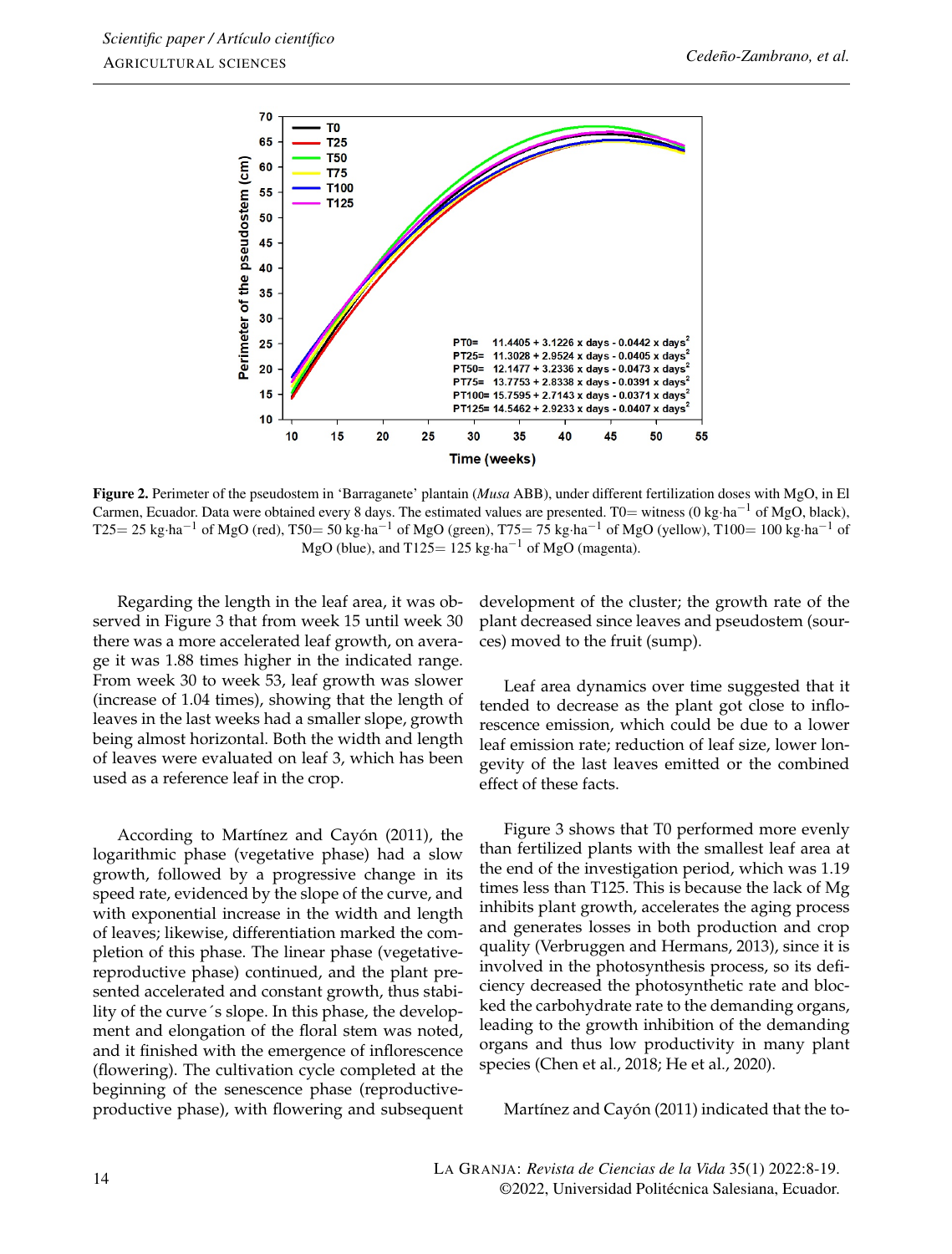

Figure 2. Perimeter of the pseudostem in 'Barraganete' plantain (*Musa* ABB), under different fertilization doses with MgO, in El Carmen, Ecuador. Data were obtained every 8 days. The estimated values are presented. T0= witness (0 kg·ha<sup>-1</sup> of MgO, black),  $T25=25$  kg·ha<sup>-1</sup> of MgO (red), T50= 50 kg·ha<sup>-1</sup> of MgO (green), T75= 75 kg·ha<sup>-1</sup> of MgO (yellow), T100= 100 kg·ha<sup>-1</sup> of MgO (blue), and T125=  $125 \text{ kg} \cdot \text{ha}^{-1}$  of MgO (magenta).

Regarding the length in the leaf area, it was observed in Figure 3 that from week 15 until week 30 there was a more accelerated leaf growth, on average it was 1.88 times higher in the indicated range. From week 30 to week 53, leaf growth was slower (increase of 1.04 times), showing that the length of leaves in the last weeks had a smaller slope, growth being almost horizontal. Both the width and length of leaves were evaluated on leaf 3, which has been used as a reference leaf in the crop.

According to [Martínez and Cayón](#page-11-10) [\(2011\)](#page-11-10), the logarithmic phase (vegetative phase) had a slow growth, followed by a progressive change in its speed rate, evidenced by the slope of the curve, and with exponential increase in the width and length of leaves; likewise, differentiation marked the completion of this phase. The linear phase (vegetativereproductive phase) continued, and the plant presented accelerated and constant growth, thus stability of the curve´s slope. In this phase, the development and elongation of the floral stem was noted, and it finished with the emergence of inflorescence (flowering). The cultivation cycle completed at the beginning of the senescence phase (reproductiveproductive phase), with flowering and subsequent

development of the cluster; the growth rate of the plant decreased since leaves and pseudostem (sources) moved to the fruit (sump).

Leaf area dynamics over time suggested that it tended to decrease as the plant got close to inflorescence emission, which could be due to a lower leaf emission rate; reduction of leaf size, lower longevity of the last leaves emitted or the combined effect of these facts.

Figure 3 shows that T0 performed more evenly than fertilized plants with the smallest leaf area at the end of the investigation period, which was 1.19 times less than T125. This is because the lack of Mg inhibits plant growth, accelerates the aging process and generates losses in both production and crop quality [\(Verbruggen and Hermans,](#page-11-11) [2013\)](#page-11-11), since it is involved in the photosynthesis process, so its deficiency decreased the photosynthetic rate and blocked the carbohydrate rate to the demanding organs, leading to the growth inhibition of the demanding organs and thus low productivity in many plant species [\(Chen et al.,](#page-10-14) [2018;](#page-10-14) [He et al.,](#page-10-15) [2020\)](#page-10-15).

[Martínez and Cayón](#page-11-10) [\(2011\)](#page-11-10) indicated that the to-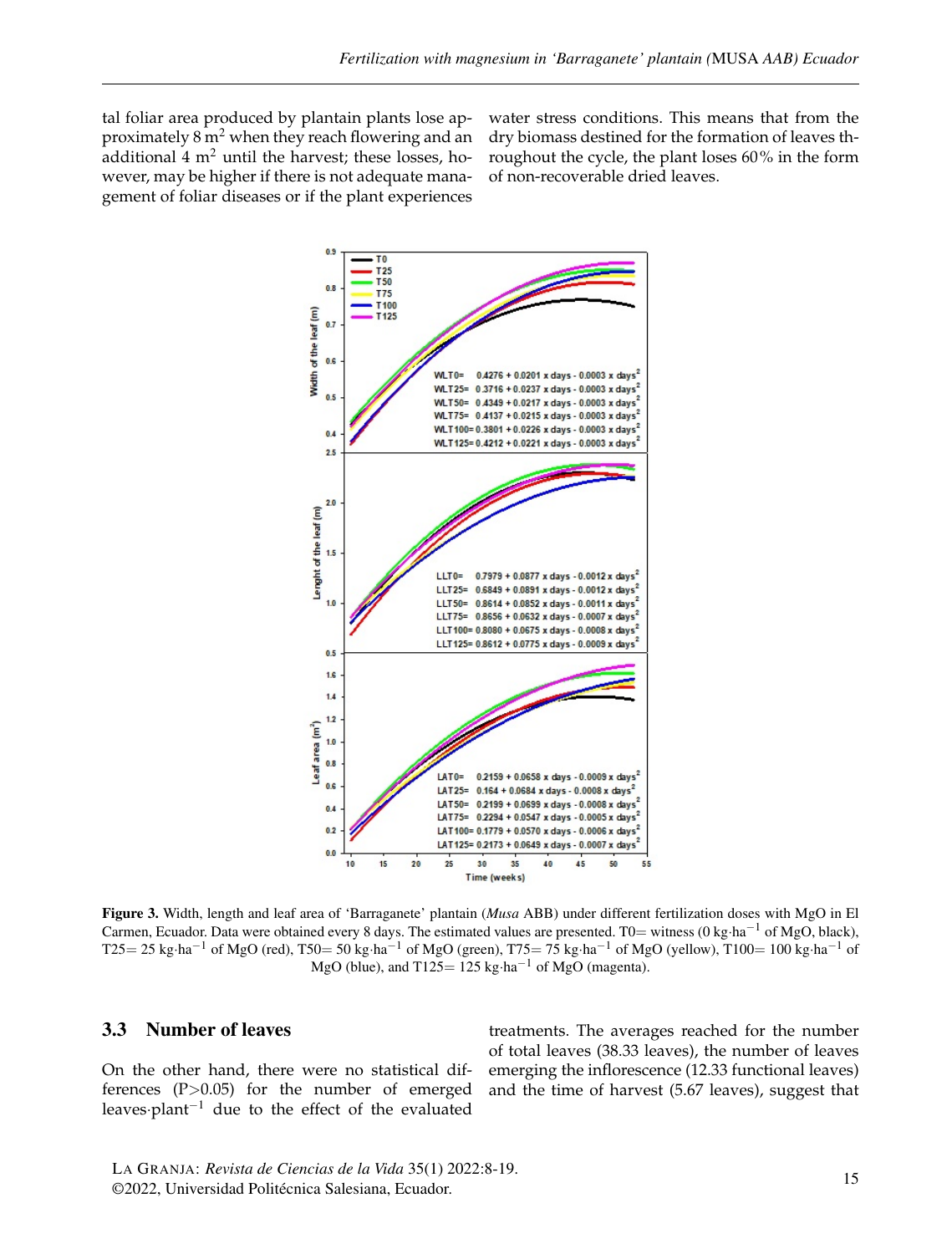tal foliar area produced by plantain plants lose approximately  $8 \text{ m}^2$  when they reach flowering and an additional  $4 \text{ m}^2$  until the harvest; these losses, however, may be higher if there is not adequate management of foliar diseases or if the plant experiences water stress conditions. This means that from the dry biomass destined for the formation of leaves throughout the cycle, the plant loses 60% in the form of non-recoverable dried leaves.



Figure 3. Width, length and leaf area of 'Barraganete' plantain (*Musa* ABB) under different fertilization doses with MgO in El Carmen, Ecuador. Data were obtained every 8 days. The estimated values are presented. T0= witness (0 kg·ha<sup>-1</sup> of MgO, black), T25= 25 kg⋅ha<sup>-1</sup> of MgO (red), T50= 50 kg⋅ha<sup>-1</sup> of MgO (green), T75= 75 kg⋅ha<sup>-1</sup> of MgO (yellow), T100= 100 kg⋅ha<sup>-1</sup> of MgO (blue), and T125=  $125 \text{ kg} \cdot \text{ha}^{-1}$  of MgO (magenta).

#### 3.3 Number of leaves

On the other hand, there were no statistical differences (P>0.05) for the number of emerged leaves·plant−<sup>1</sup> due to the effect of the evaluated

treatments. The averages reached for the number of total leaves (38.33 leaves), the number of leaves emerging the inflorescence (12.33 functional leaves) and the time of harvest (5.67 leaves), suggest that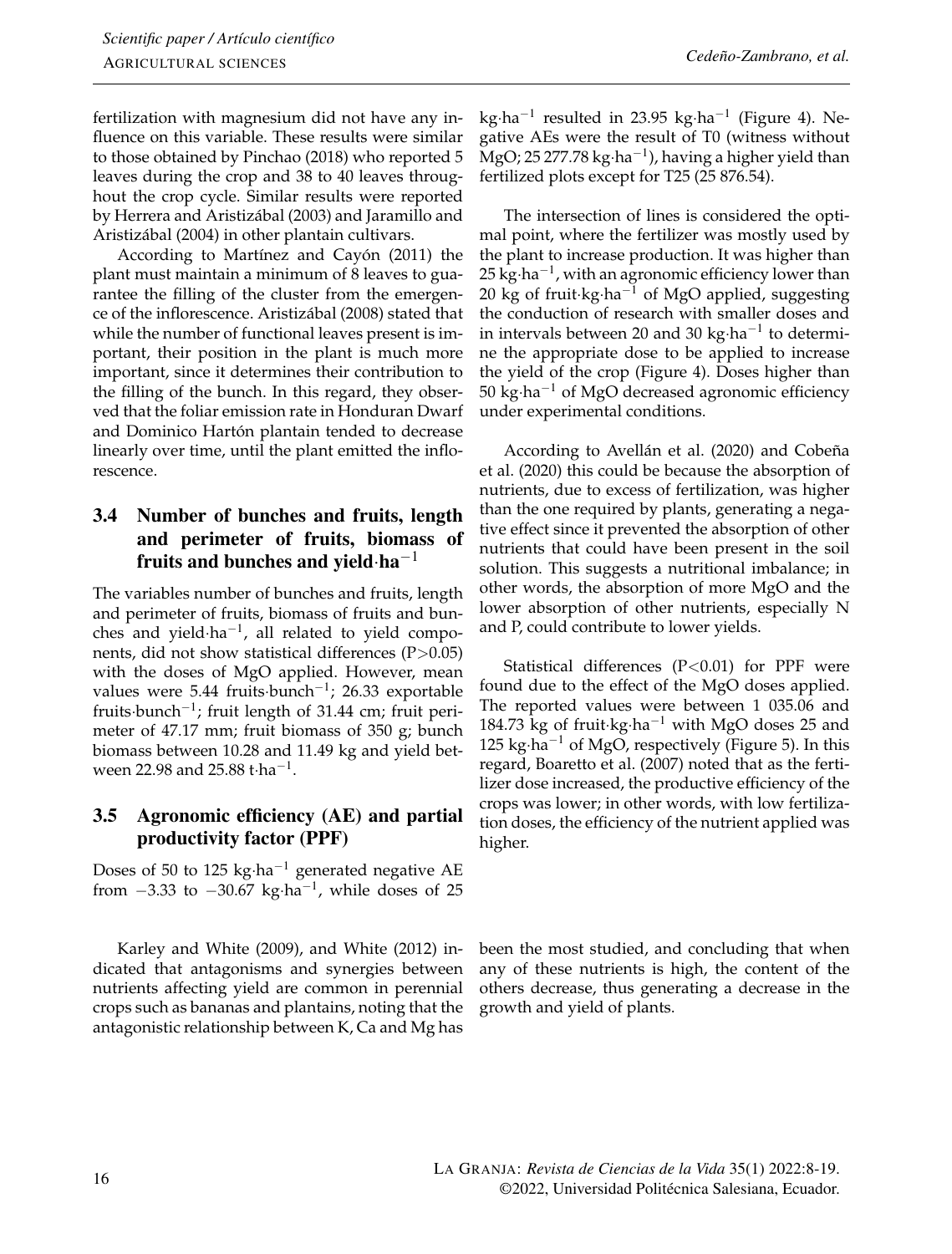fertilization with magnesium did not have any influence on this variable. These results were similar to those obtained by [Pinchao](#page-11-9) [\(2018\)](#page-11-9) who reported 5 leaves during the crop and 38 to 40 leaves throughout the crop cycle. Similar results were reported by [Herrera and Aristizábal](#page-10-16) [\(2003\)](#page-10-16) and [Jaramillo and](#page-10-17) [Aristizábal](#page-10-17) [\(2004\)](#page-10-17) in other plantain cultivars.

According to [Martínez and Cayón](#page-11-10) [\(2011\)](#page-11-10) the plant must maintain a minimum of 8 leaves to guarantee the filling of the cluster from the emergence of the inflorescence. [Aristizábal](#page-9-2) [\(2008\)](#page-9-2) stated that while the number of functional leaves present is important, their position in the plant is much more important, since it determines their contribution to the filling of the bunch. In this regard, they observed that the foliar emission rate in Honduran Dwarf and Dominico Hartón plantain tended to decrease linearly over time, until the plant emitted the inflorescence.

## 3.4 Number of bunches and fruits, length and perimeter of fruits, biomass of fruits and bunches and yield $\cdot$ ha<sup>-1</sup>

The variables number of bunches and fruits, length and perimeter of fruits, biomass of fruits and bunches and yield $\cdot$ ha<sup>-1</sup>, all related to yield components, did not show statistical differences  $(P>0.05)$ with the doses of MgO applied. However, mean values were 5.44 fruits·bunch−<sup>1</sup> ; 26.33 exportable fruits·bunch<sup>-1</sup>; fruit length of 31.44 cm; fruit perimeter of 47.17 mm; fruit biomass of 350 g; bunch biomass between 10.28 and 11.49 kg and yield between 22.98 and 25.88 t·ha−<sup>1</sup> .

## 3.5 Agronomic efficiency (AE) and partial productivity factor (PPF)

Doses of 50 to 125 kg·ha−<sup>1</sup> generated negative AE from  $-3.33$  to  $-30.67$  kg⋅ha<sup>-1</sup>, while doses of 25

[Karley and White](#page-10-19) [\(2009\)](#page-10-19), and [White](#page-11-12) [\(2012\)](#page-11-12) indicated that antagonisms and synergies between nutrients affecting yield are common in perennial crops such as bananas and plantains, noting that the antagonistic relationship between K, Ca and Mg has

kg·ha−<sup>1</sup> resulted in 23.95 kg·ha−<sup>1</sup> (Figure 4). Negative AEs were the result of T0 (witness without MgO; 25 277.78 kg·ha−<sup>1</sup> ), having a higher yield than fertilized plots except for T25 (25 876.54).

The intersection of lines is considered the optimal point, where the fertilizer was mostly used by the plant to increase production. It was higher than 25 kg⋅ha<sup>-1</sup>, with an agronomic efficiency lower than 20 kg of fruit·kg·ha<sup>-1</sup> of MgO applied, suggesting the conduction of research with smaller doses and in intervals between 20 and 30 kg·ha−<sup>1</sup> to determine the appropriate dose to be applied to increase the yield of the crop (Figure 4). Doses higher than 50 kg·ha−<sup>1</sup> of MgO decreased agronomic efficiency under experimental conditions.

According to [Avellán et al.](#page-9-1) [\(2020\)](#page-9-1) and [Cobeña](#page-10-3) [et al.](#page-10-3) [\(2020\)](#page-10-3) this could be because the absorption of nutrients, due to excess of fertilization, was higher than the one required by plants, generating a negative effect since it prevented the absorption of other nutrients that could have been present in the soil solution. This suggests a nutritional imbalance; in other words, the absorption of more MgO and the lower absorption of other nutrients, especially N and P, could contribute to lower yields.

Statistical differences  $(P<0.01)$  for PPF were found due to the effect of the MgO doses applied. The reported values were between 1 035.06 and 184.73 kg of fruit·kg·ha−<sup>1</sup> with MgO doses 25 and  $125 \text{ kg} \cdot \text{ha}^{-1}$  of MgO, respectively (Figure 5). In this regard, [Boaretto et al.](#page-10-18) [\(2007\)](#page-10-18) noted that as the fertilizer dose increased, the productive efficiency of the crops was lower; in other words, with low fertilization doses, the efficiency of the nutrient applied was higher.

been the most studied, and concluding that when any of these nutrients is high, the content of the others decrease, thus generating a decrease in the growth and yield of plants.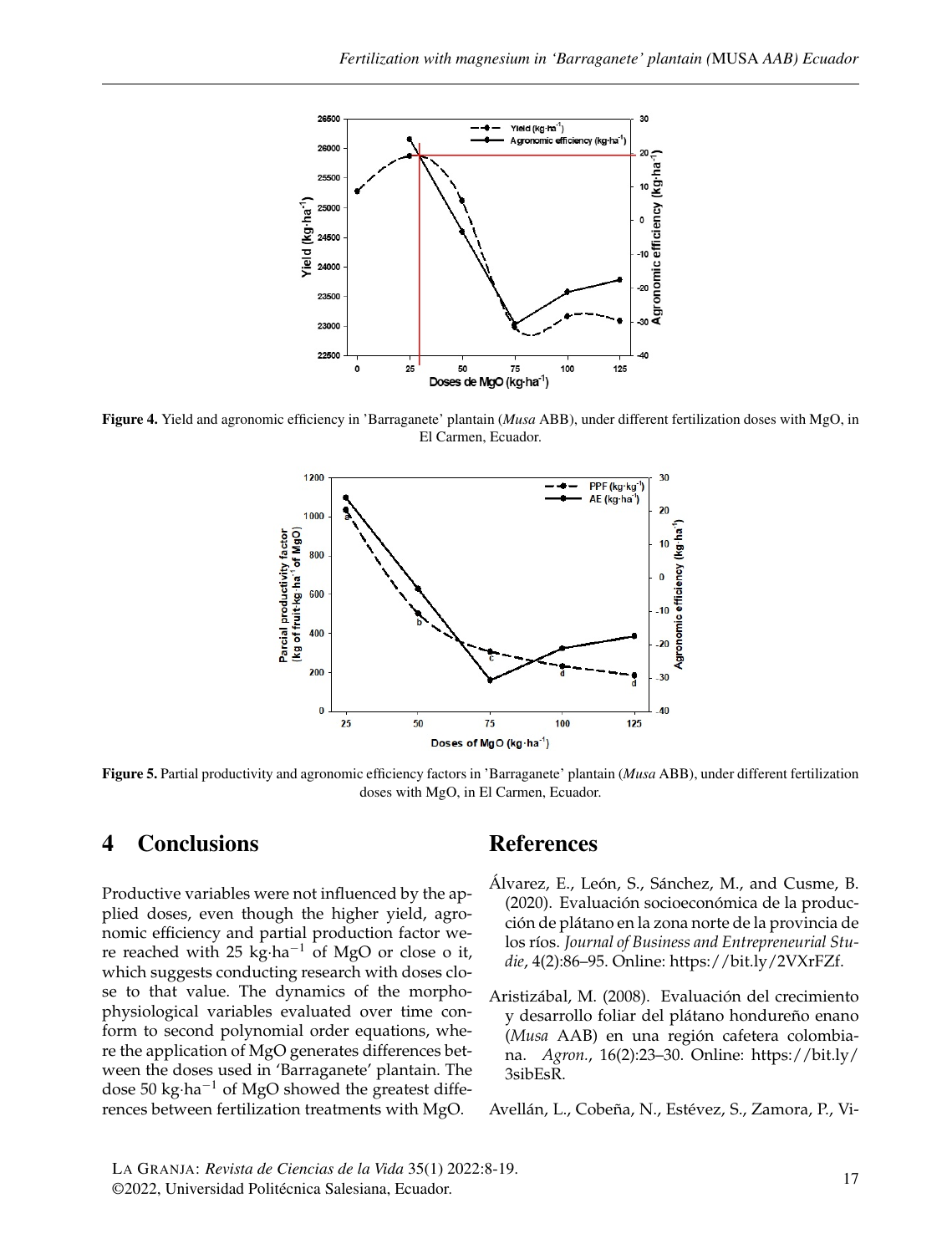

Figure 4. Yield and agronomic efficiency in 'Barraganete' plantain (*Musa* ABB), under different fertilization doses with MgO, in El Carmen, Ecuador.



Figure 5. Partial productivity and agronomic efficiency factors in 'Barraganete' plantain (*Musa* ABB), under different fertilization doses with MgO, in El Carmen, Ecuador.

### 4 Conclusions

Productive variables were not influenced by the applied doses, even though the higher yield, agronomic efficiency and partial production factor were reached with 25 kg·ha−<sup>1</sup> of MgO or close o it, which suggests conducting research with doses close to that value. The dynamics of the morphophysiological variables evaluated over time conform to second polynomial order equations, where the application of MgO generates differences between the doses used in 'Barraganete' plantain. The dose 50 kg·ha−<sup>1</sup> of MgO showed the greatest differences between fertilization treatments with MgO.

## References

- <span id="page-9-0"></span>Álvarez, E., León, S., Sánchez, M., and Cusme, B. (2020). Evaluación socioeconómica de la producción de plátano en la zona norte de la provincia de los ríos. *Journal of Business and Entrepreneurial Studie*, 4(2):86–95. Online: [https://bit.ly/2VXrFZf.](https://bit.ly/2VXrFZf)
- <span id="page-9-2"></span>Aristizábal, M. (2008). Evaluación del crecimiento y desarrollo foliar del plátano hondureño enano (*Musa* AAB) en una región cafetera colombiana. *Agron.*, 16(2):23–30. Online: [https://bit.ly/](https://bit.ly/3sibEsR) [3sibEsR.](https://bit.ly/3sibEsR)

<span id="page-9-1"></span>Avellán, L., Cobeña, N., Estévez, S., Zamora, P., Vi-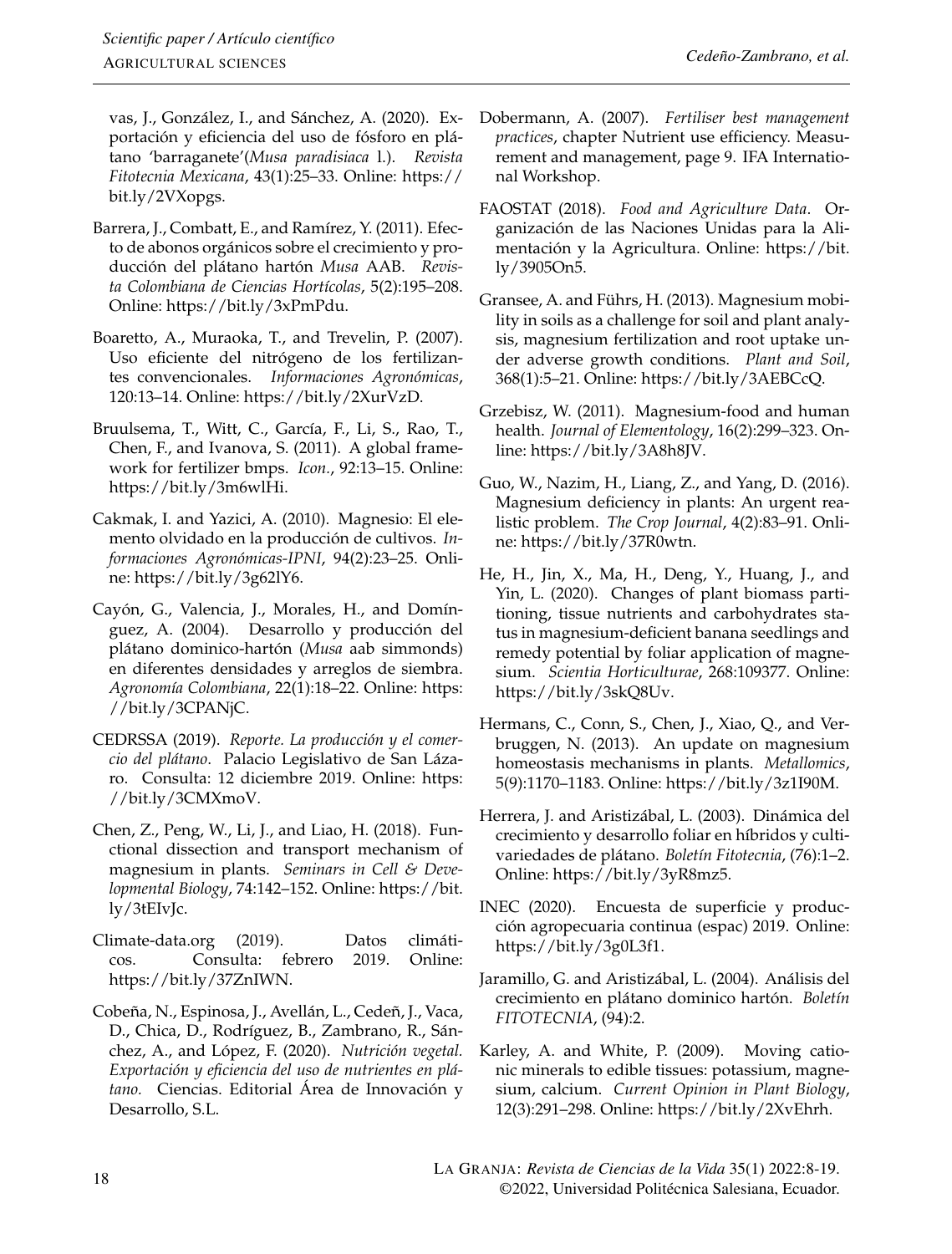vas, J., González, I., and Sánchez, A. (2020). Exportación y eficiencia del uso de fósforo en plátano 'barraganete'(*Musa paradisiaca* l.). *Revista Fitotecnia Mexicana*, 43(1):25–33. Online: [https://](https://bit.ly/2VXopgs) [bit.ly/2VXopgs.](https://bit.ly/2VXopgs)

- <span id="page-10-13"></span>Barrera, J., Combatt, E., and Ramírez, Y. (2011). Efecto de abonos orgánicos sobre el crecimiento y producción del plátano hartón *Musa* AAB. *Revista Colombiana de Ciencias Hortícolas*, 5(2):195–208. Online: [https://bit.ly/3xPmPdu.](https://bit.ly/3xPmPdu)
- <span id="page-10-18"></span>Boaretto, A., Muraoka, T., and Trevelin, P. (2007). Uso eficiente del nitrógeno de los fertilizantes convencionales. *Informaciones Agronómicas*, 120:13–14. Online: [https://bit.ly/2XurVzD.](https://bit.ly/2XurVzD)
- <span id="page-10-10"></span>Bruulsema, T., Witt, C., García, F., Li, S., Rao, T., Chen, F., and Ivanova, S. (2011). A global framework for fertilizer bmps. *Icon.*, 92:13–15. Online: [https://bit.ly/3m6wlHi.](https://bit.ly/3m6wlHi)
- <span id="page-10-12"></span>Cakmak, I. and Yazici, A. (2010). Magnesio: El elemento olvidado en la producción de cultivos. *Informaciones Agronómicas-IPNI*, 94(2):23–25. Online: [https://bit.ly/3g62lY6.](https://bit.ly/3g62lY6)
- <span id="page-10-11"></span>Cayón, G., Valencia, J., Morales, H., and Domínguez, A. (2004). Desarrollo y producción del plátano dominico-hartón (*Musa* aab simmonds) en diferentes densidades y arreglos de siembra. *Agronomía Colombiana*, 22(1):18–22. Online: [https:](https://bit.ly/3CPANjC) [//bit.ly/3CPANjC.](https://bit.ly/3CPANjC)
- <span id="page-10-1"></span>CEDRSSA (2019). *Reporte. La producción y el comercio del plátano*. Palacio Legislativo de San Lázaro. Consulta: 12 diciembre 2019. Online: [https:](https://bit.ly/3CMXmoV) [//bit.ly/3CMXmoV.](https://bit.ly/3CMXmoV)
- <span id="page-10-14"></span>Chen, Z., Peng, W., Li, J., and Liao, H. (2018). Functional dissection and transport mechanism of magnesium in plants. *Seminars in Cell & Developmental Biology*, 74:142–152. Online: [https://bit.](https://bit.ly/3tEIvJc) [ly/3tEIvJc.](https://bit.ly/3tEIvJc)
- <span id="page-10-8"></span>Climate-data.org (2019). Datos climáticos. Consulta: febrero 2019. Online: [https://bit.ly/37ZnIWN.](https://bit.ly/37ZnIWN)
- <span id="page-10-3"></span>Cobeña, N., Espinosa, J., Avellán, L., Cedeñ, J., Vaca, D., Chica, D., Rodríguez, B., Zambrano, R., Sánchez, A., and López, F. (2020). *Nutrición vegetal. Exportación y eficiencia del uso de nutrientes en plátano.* Ciencias. Editorial Área de Innovación y Desarrollo, S.L.
- <span id="page-10-9"></span>Dobermann, A. (2007). *Fertiliser best management practices*, chapter Nutrient use efficiency. Measurement and management, page 9. IFA International Workshop.
- <span id="page-10-0"></span>FAOSTAT (2018). *Food and Agriculture Data*. Organización de las Naciones Unidas para la Alimentación y la Agricultura. Online: [https://bit.](https://bit.ly/3905On5) [ly/3905On5.](https://bit.ly/3905On5)
- <span id="page-10-6"></span>Gransee, A. and Führs, H. (2013). Magnesium mobility in soils as a challenge for soil and plant analysis, magnesium fertilization and root uptake under adverse growth conditions. *Plant and Soil*, 368(1):5–21. Online: [https://bit.ly/3AEBCcQ.](https://bit.ly/3AEBCcQ)
- <span id="page-10-5"></span>Grzebisz, W. (2011). Magnesium-food and human health. *Journal of Elementology*, 16(2):299–323. Online: [https://bit.ly/3A8h8JV.](https://bit.ly/3A8h8JV)
- <span id="page-10-7"></span>Guo, W., Nazim, H., Liang, Z., and Yang, D. (2016). Magnesium deficiency in plants: An urgent realistic problem. *The Crop Journal*, 4(2):83–91. Online: [https://bit.ly/37R0wtn.](https://bit.ly/37R0wtn)
- <span id="page-10-15"></span>He, H., Jin, X., Ma, H., Deng, Y., Huang, J., and Yin, L. (2020). Changes of plant biomass partitioning, tissue nutrients and carbohydrates status in magnesium-deficient banana seedlings and remedy potential by foliar application of magnesium. *Scientia Horticulturae*, 268:109377. Online: [https://bit.ly/3skQ8Uv.](https://bit.ly/3skQ8Uv)
- <span id="page-10-4"></span>Hermans, C., Conn, S., Chen, J., Xiao, Q., and Verbruggen, N. (2013). An update on magnesium homeostasis mechanisms in plants. *Metallomics*, 5(9):1170–1183. Online: [https://bit.ly/3z1I90M.](https://bit.ly/3z1I90M)
- <span id="page-10-16"></span>Herrera, J. and Aristizábal, L. (2003). Dinámica del crecimiento y desarrollo foliar en híbridos y cultivariedades de plátano. *Boletín Fitotecnia*, (76):1–2. Online: [https://bit.ly/3yR8mz5.](https://bit.ly/3yR8mz5)
- <span id="page-10-2"></span>INEC (2020). Encuesta de superficie y producción agropecuaria continua (espac) 2019. Online: [https://bit.ly/3g0L3f1.](https://bit.ly/3g0L3f1)
- <span id="page-10-17"></span>Jaramillo, G. and Aristizábal, L. (2004). Análisis del crecimiento en plátano dominico hartón. *Boletín FITOTECNIA*, (94):2.
- <span id="page-10-19"></span>Karley, A. and White, P. (2009). Moving cationic minerals to edible tissues: potassium, magnesium, calcium. *Current Opinion in Plant Biology*, 12(3):291–298. Online: [https://bit.ly/2XvEhrh.](https://bit.ly/2XvEhrh)